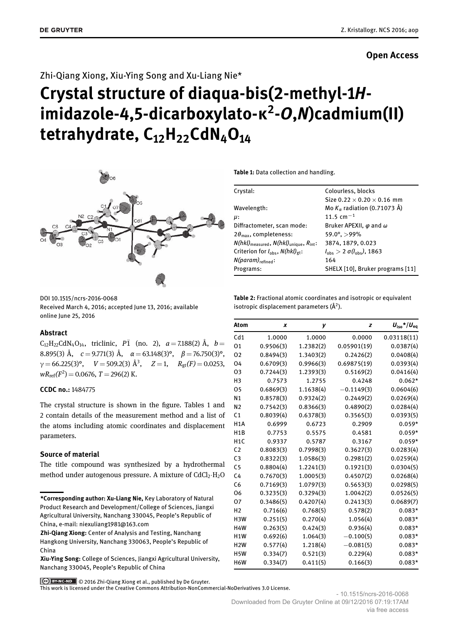# **Open Access**

# Zhi-Qiang Xiong, Xiu-Ying Song and Xu-Liang Nie\*

# **Crystal structure of diaqua-bis(2-methyl-1***H***imidazole-4,5-dicarboxylato-κ<sup>2</sup> -***O***,***N***)cadmium(II) tetrahydrate, C12H22CdN4O<sup>14</sup>**



DOI 10.1515/ncrs-2016-0068

Received March 4, 2016; accepted June 13, 2016; available online June 25, 2016

# **Abstract**

 $C_{12}H_{22}CdN_4O_{14}$ , triclinic,  $P\bar{1}$  (no. 2),  $a = 7.188(2)$  Å,  $b =$ 8.895(3) Å, *c* = 9.771(3) Å, *α* = 63.148(3)°, *β* = 76.750(3)°,  $\gamma = 66.225(3)$ °,  $V = 509.2(3)$   $\AA$ <sup>3</sup>,  $Z = 1$ ,  $R_{gt}(F) = 0.0253$ ,  $wR_{\text{ref}}(F^2) = 0.0676$ ,  $T = 296(2)$  K.

# **CCDC no.:** 1484775

The crystal structure is shown in the figure. Tables 1 and 2 contain details of the measurement method and a list of the atoms including atomic coordinates and displacement parameters.

## **Source of material**

The title compound was synthesized by a hydrothermal method under autogenous pressure. A mixture of  $CdCl<sub>2</sub>·H<sub>2</sub>O$  **Table 1:** Data collection and handling.

| Crystal:                                                                   | Colourless, blocks                                 |  |  |
|----------------------------------------------------------------------------|----------------------------------------------------|--|--|
|                                                                            | Size $0.22 \times 0.20 \times 0.16$ mm             |  |  |
| Wavelength:                                                                | Mo $K_{\alpha}$ radiation (0.71073 Å)              |  |  |
| μ:                                                                         | 11.5 cm $^{-1}$                                    |  |  |
| Diffractometer, scan mode:                                                 | Bruker APEXII, $\varphi$ and $\omega$              |  |  |
| $2\theta_{\text{max}}$ , completeness:                                     | $59.0^{\circ}$ , $>99\%$                           |  |  |
| $N(hkl)_{\text{measured}}$ , $N(hkl)_{\text{unique}}$ , $R_{\text{int}}$ : | 3874, 1879, 0.023                                  |  |  |
| Criterion for $I_{\text{obs}}$ , $N(hkl)_{gt}$ :                           | $l_{\text{obs}} > 2 \sigma(l_{\text{obs}})$ , 1863 |  |  |
| $N(param)_{refined}$ :                                                     | 164                                                |  |  |
| Programs:                                                                  | SHELX [10], Bruker programs [11]                   |  |  |
|                                                                            |                                                    |  |  |

**Table 2:** Fractional atomic coordinates and isotropic or equivalent isotropic displacement parameters (Å<sup>2</sup>).

| Atom             | x         | у         | z            | $U_{\text{iso}}$ */ $U_{\text{eq}}$ |
|------------------|-----------|-----------|--------------|-------------------------------------|
| Cd1              | 1.0000    | 1.0000    | 0.0000       | 0.03118(11)                         |
| 01               | 0.9506(3) | 1.2382(2) | 0.05901(19)  | 0.0387(4)                           |
| 02               | 0.8494(3) | 1.3403(2) | 0.2426(2)    | 0.0408(4)                           |
| 04               | 0.6709(3) | 0.9966(3) | 0.69875(19)  | 0.0393(4)                           |
| 03               | 0.7244(3) | 1.2393(3) | 0.5169(2)    | 0.0416(4)                           |
| H3               | 0.7573    | 1.2755    | 0.4248       | $0.062*$                            |
| 05               | 0.6869(3) | 1.1638(4) | $-0.1149(3)$ | 0.0604(6)                           |
| N <sub>1</sub>   | 0.8578(3) | 0.9324(2) | 0.2449(2)    | 0.0269(4)                           |
| N <sub>2</sub>   | 0.7542(3) | 0.8366(3) | 0.4890(2)    | 0.0284(4)                           |
| C <sub>1</sub>   | 0.8039(4) | 0.6378(3) | 0.3565(3)    | 0.0393(5)                           |
| H <sub>1</sub> A | 0.6999    | 0.6723    | 0.2909       | $0.059*$                            |
| H1B              | 0.7753    | 0.5575    | 0.4581       | $0.059*$                            |
| H <sub>1</sub> C | 0.9337    | 0.5787    | 0.3167       | $0.059*$                            |
| C <sub>2</sub>   | 0.8083(3) | 0.7998(3) | 0.3627(3)    | 0.0283(4)                           |
| C <sub>3</sub>   | 0.8322(3) | 1.0586(3) | 0.2981(2)    | 0.0259(4)                           |
| C <sub>5</sub>   | 0.8804(4) | 1.2241(3) | 0.1921(3)    | 0.0304(5)                           |
| C <sub>4</sub>   | 0.7670(3) | 1.0005(3) | 0.4507(2)    | 0.0268(4)                           |
| C <sub>6</sub>   | 0.7169(3) | 1.0797(3) | 0.5653(3)    | 0.0298(5)                           |
| 06               | 0.3235(3) | 0.3294(3) | 1.0042(2)    | 0.0526(5)                           |
| 07               | 0.3486(5) | 0.4207(4) | 0.2413(3)    | 0.0689(7)                           |
| H <sub>2</sub>   | 0.716(6)  | 0.768(5)  | 0.578(2)     | $0.083*$                            |
| H <sub>3</sub> W | 0.251(5)  | 0.270(4)  | 1.056(4)     | $0.083*$                            |
| H <sub>4</sub> W | 0.263(5)  | 0.424(3)  | 0.936(4)     | $0.083*$                            |
| H <sub>1</sub> W | 0.692(6)  | 1.064(3)  | $-0.100(5)$  | $0.083*$                            |
| H2W              | 0.577(4)  | 1.218(4)  | $-0.081(5)$  | $0.083*$                            |
| H <sub>5</sub> W | 0.334(7)  | 0.521(3)  | 0.229(4)     | $0.083*$                            |
| H6W              | 0.334(7)  | 0.411(5)  | 0.166(3)     | $0.083*$                            |

© 2016 Zhi-Qiang Xiong et al., published by De Gruyter.

This work is licensed under the Creative Commons Attribution-NonCommercial-NoDerivatives 3.0 License.

**<sup>\*</sup>Corresponding author: Xu-Liang Nie,** Key Laboratory of Natural Product Research and Development/College of Sciences, Jiangxi Agricultural University, Nanchang 330045, People's Republic of China, e-mail: niexuliang1981@163.com

**Zhi-Qiang Xiong:** Center of Analysis and Testing, Nanchang Hangkong University, Nanchang 330063, People's Republic of China

**Xiu-Ying Song:** College of Sciences, Jiangxi Agricultural University, Nanchang 330045, People's Republic of China